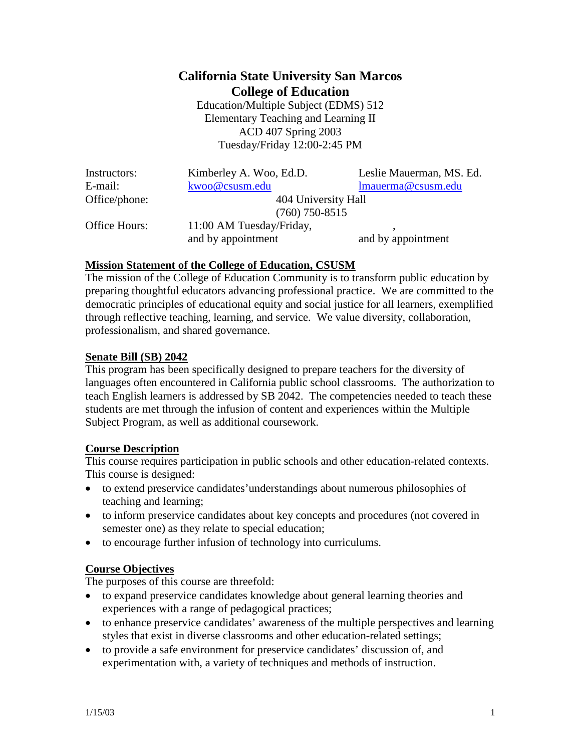# **California State University San Marcos College of Education**

Education/Multiple Subject (EDMS) 512 Elementary Teaching and Learning II ACD 407 Spring 2003 Tuesday/Friday 12:00-2:45 PM

| Instructors:  |  |
|---------------|--|
| E-mail:       |  |
| Office/phone: |  |

(760) 750-8515

Kimberley A. Woo, Ed.D. Leslie Mauerman, MS. Ed. [kwoo@csusm.edu](mailto:kwoo@csusm.edu) [lmauerma@csusm.edu](mailto:lmauerman@csusm.edu) 404 University Hall

Office Hours: 11:00 AM Tuesday/Friday,

and by appointment and by appointment

# **Mission Statement of the College of Education, CSUSM**

The mission of the College of Education Community is to transform public education by preparing thoughtful educators advancing professional practice. We are committed to the democratic principles of educational equity and social justice for all learners, exemplified through reflective teaching, learning, and service. We value diversity, collaboration, professionalism, and shared governance.

#### **Senate Bill (SB) 2042**

This program has been specifically designed to prepare teachers for the diversity of languages often encountered in California public school classrooms. The authorization to teach English learners is addressed by SB 2042. The competencies needed to teach these students are met through the infusion of content and experiences within the Multiple Subject Program, as well as additional coursework.

# **Course Description**

This course requires participation in public schools and other education-related contexts. This course is designed:

- to extend preservice candidates'understandings about numerous philosophies of teaching and learning;
- to inform preservice candidates about key concepts and procedures (not covered in semester one) as they relate to special education;
- to encourage further infusion of technology into curriculums.

# **Course Objectives**

The purposes of this course are threefold:

- to expand preservice candidates knowledge about general learning theories and experiences with a range of pedagogical practices;
- to enhance preservice candidates' awareness of the multiple perspectives and learning styles that exist in diverse classrooms and other education-related settings;
- to provide a safe environment for preservice candidates' discussion of, and experimentation with, a variety of techniques and methods of instruction.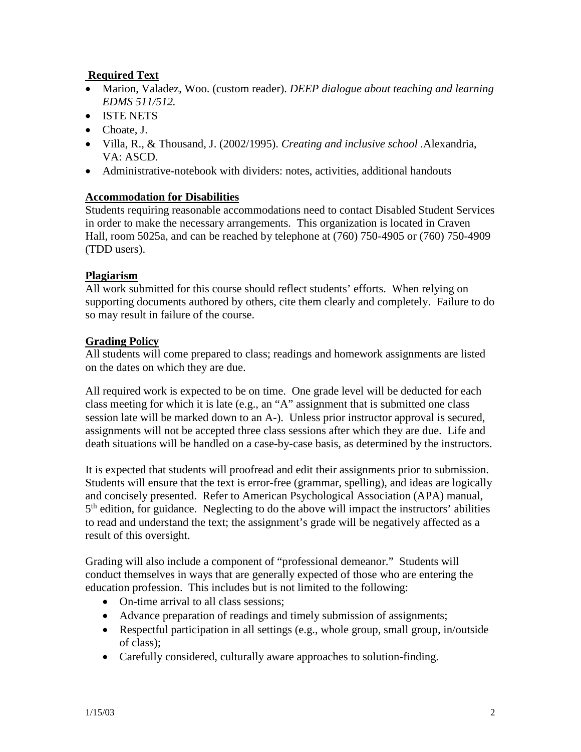# **Required Text**

- Marion, Valadez, Woo. (custom reader). *DEEP dialogue about teaching and learning EDMS 511/512.*
- ISTE NETS
- Choate, J.
- Villa, R., & Thousand, J. (2002/1995). *Creating and inclusive school .*Alexandria, VA: ASCD.
- Administrative-notebook with dividers: notes, activities, additional handouts

#### **Accommodation for Disabilities**

Students requiring reasonable accommodations need to contact Disabled Student Services in order to make the necessary arrangements. This organization is located in Craven Hall, room 5025a, and can be reached by telephone at (760) 750-4905 or (760) 750-4909 (TDD users).

#### **Plagiarism**

All work submitted for this course should reflect students' efforts. When relying on supporting documents authored by others, cite them clearly and completely. Failure to do so may result in failure of the course.

#### **Grading Policy**

All students will come prepared to class; readings and homework assignments are listed on the dates on which they are due.

All required work is expected to be on time. One grade level will be deducted for each class meeting for which it is late (e.g., an "A" assignment that is submitted one class session late will be marked down to an A-). Unless prior instructor approval is secured, assignments will not be accepted three class sessions after which they are due. Life and death situations will be handled on a case-by-case basis, as determined by the instructors.

It is expected that students will proofread and edit their assignments prior to submission. Students will ensure that the text is error-free (grammar, spelling), and ideas are logically and concisely presented. Refer to American Psychological Association (APA) manual, 5<sup>th</sup> edition, for guidance. Neglecting to do the above will impact the instructors' abilities to read and understand the text; the assignment's grade will be negatively affected as a result of this oversight.

Grading will also include a component of "professional demeanor." Students will conduct themselves in ways that are generally expected of those who are entering the education profession. This includes but is not limited to the following:

- On-time arrival to all class sessions:
- Advance preparation of readings and timely submission of assignments;
- Respectful participation in all settings (e.g., whole group, small group, in/outside of class);
- Carefully considered, culturally aware approaches to solution-finding.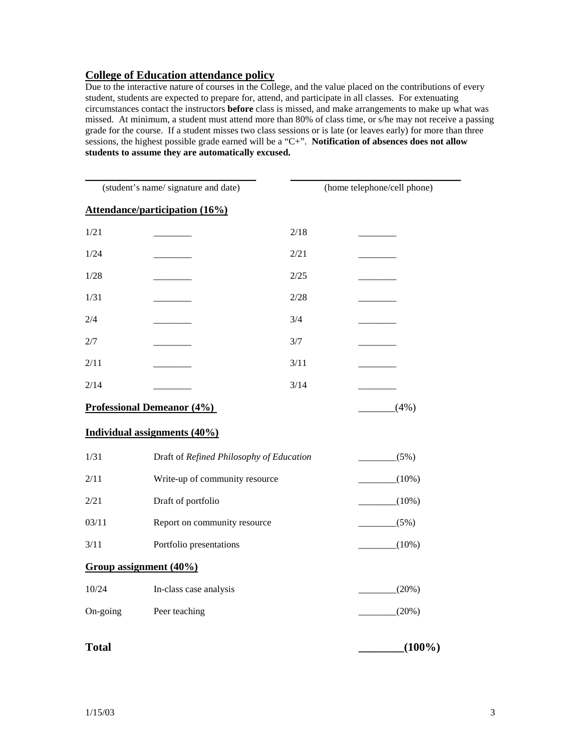#### **College of Education attendance policy**

Due to the interactive nature of courses in the College, and the value placed on the contributions of every student, students are expected to prepare for, attend, and participate in all classes. For extenuating circumstances contact the instructors **before** class is missed, and make arrangements to make up what was missed. At minimum, a student must attend more than 80% of class time, or s/he may not receive a passing grade for the course. If a student misses two class sessions or is late (or leaves early) for more than three sessions, the highest possible grade earned will be a "C+". **Notification of absences does not allow students to assume they are automatically excused.**

| (student's name/signature and date) |                                          |      | (home telephone/cell phone) |  |
|-------------------------------------|------------------------------------------|------|-----------------------------|--|
|                                     | <b>Attendance/participation (16%)</b>    |      |                             |  |
| 1/21                                |                                          | 2/18 |                             |  |
| 1/24                                |                                          | 2/21 |                             |  |
| 1/28                                |                                          | 2/25 |                             |  |
| 1/31                                |                                          | 2/28 |                             |  |
| 2/4                                 |                                          | 3/4  |                             |  |
| 2/7                                 |                                          | 3/7  |                             |  |
| 2/11                                |                                          | 3/11 |                             |  |
| 2/14                                |                                          | 3/14 |                             |  |
| <b>Professional Demeanor (4%)</b>   |                                          |      | (4%)                        |  |
|                                     | Individual assignments (40%)             |      |                             |  |
| 1/31                                | Draft of Refined Philosophy of Education |      | (5%)                        |  |
| 2/11                                | Write-up of community resource           |      | $(10\%)$                    |  |
| 2/21                                | Draft of portfolio                       |      | $(10\%)$                    |  |
| 03/11                               | Report on community resource             |      | (5%)                        |  |
| 3/11                                | Portfolio presentations                  |      | $(10\%)$                    |  |
|                                     | Group assignment (40%)                   |      |                             |  |
| 10/24                               | In-class case analysis                   |      | (20%)                       |  |
| On-going                            | Peer teaching                            |      | (20%)                       |  |
| <b>Total</b>                        |                                          |      | $(100\%)$                   |  |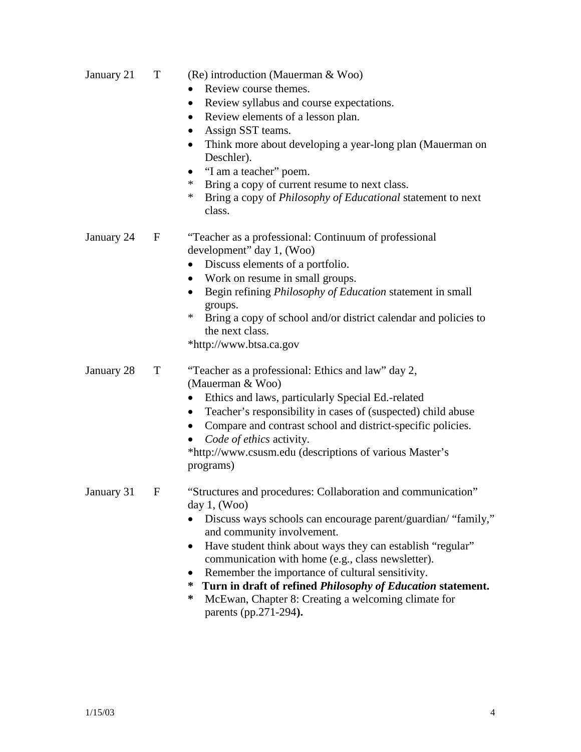| January 21   | T           | (Re) introduction (Mauerman & Woo)<br>Review course themes.<br>Review syllabus and course expectations.<br>$\bullet$<br>Review elements of a lesson plan.<br>$\bullet$<br>Assign SST teams.<br>$\bullet$<br>Think more about developing a year-long plan (Mauerman on<br>$\bullet$<br>Deschler).<br>"I am a teacher" poem.<br>$\bullet$<br>Bring a copy of current resume to next class.<br>*<br>Bring a copy of <i>Philosophy of Educational</i> statement to next<br>*<br>class.                                          |
|--------------|-------------|-----------------------------------------------------------------------------------------------------------------------------------------------------------------------------------------------------------------------------------------------------------------------------------------------------------------------------------------------------------------------------------------------------------------------------------------------------------------------------------------------------------------------------|
| January 24   | $\mathbf F$ | "Teacher as a professional: Continuum of professional<br>development" day 1, (Woo)<br>Discuss elements of a portfolio.<br>$\bullet$<br>Work on resume in small groups.<br>Begin refining <i>Philosophy of Education</i> statement in small<br>$\bullet$<br>groups.<br>$\ast$<br>Bring a copy of school and/or district calendar and policies to<br>the next class.<br>*http://www.btsa.ca.gov                                                                                                                               |
| January 28   | T           | "Teacher as a professional: Ethics and law" day 2,<br>(Mauerman & Woo)<br>Ethics and laws, particularly Special Ed.-related<br>Teacher's responsibility in cases of (suspected) child abuse<br>$\bullet$<br>Compare and contrast school and district-specific policies.<br>$\bullet$<br>Code of ethics activity.<br>*http://www.csusm.edu (descriptions of various Master's<br>programs)                                                                                                                                    |
| January 31 F |             | "Structures and procedures: Collaboration and communication"<br>day $1$ , (Woo)<br>Discuss ways schools can encourage parent/guardian/ "family,"<br>and community involvement.<br>Have student think about ways they can establish "regular"<br>$\bullet$<br>communication with home (e.g., class newsletter).<br>Remember the importance of cultural sensitivity.<br>Turn in draft of refined Philosophy of Education statement.<br>∗<br>∗<br>McEwan, Chapter 8: Creating a welcoming climate for<br>parents (pp.271-294). |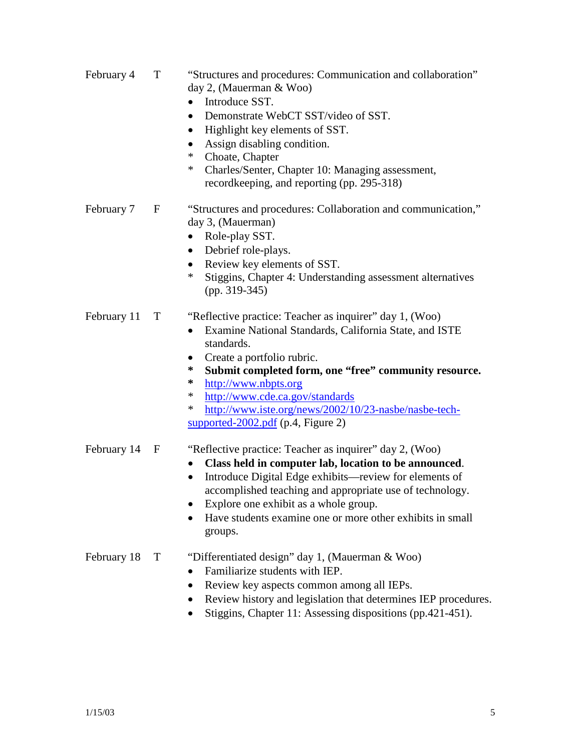- February 4 T "Structures and procedures: Communication and collaboration" day 2, (Mauerman & Woo)
	- Introduce SST.
	- Demonstrate WebCT SST/video of SST.
	- Highlight key elements of SST.
	- Assign disabling condition.
	- \* Choate, Chapter
	- Charles/Senter, Chapter 10: Managing assessment, recordkeeping, and reporting (pp. 295-318)
- February 7 F "Structures and procedures: Collaboration and communication," day 3, (Mauerman)
	- Role-play SST.
	- Debrief role-plays.
	- Review key elements of SST.
	- Stiggins, Chapter 4: Understanding assessment alternatives (pp. 319-345)

#### February 11 T "Reflective practice: Teacher as inquirer" day 1, (Woo)

- Examine National Standards, California State, and ISTE standards.
- Create a portfolio rubric.
- **\* Submit completed form, one "free" community resource.**
- **\*** [http://www.nbpts.org](http://www.nbpts.org/)
- \* <http://www.cde.ca.gov/standards>
- \* [http://www.iste.org/news/2002/10/23-nasbe/nasbe-tech](http://www.iste.org/news/2002/10/23-nasbe/nasbe-tech-supported-2002.pdf)[supported-2002.pdf](http://www.iste.org/news/2002/10/23-nasbe/nasbe-tech-supported-2002.pdf) (p.4, Figure 2)

#### February 14 F "Reflective practice: Teacher as inquirer" day 2, (Woo)

- **Class held in computer lab, location to be announced**.
- Introduce Digital Edge exhibits—review for elements of accomplished teaching and appropriate use of technology.
- Explore one exhibit as a whole group.
- Have students examine one or more other exhibits in small groups.

#### February 18 T "Differentiated design" day 1, (Mauerman & Woo)

- Familiarize students with IEP.
- Review key aspects common among all IEPs.
- Review history and legislation that determines IEP procedures.
- Stiggins, Chapter 11: Assessing dispositions (pp. 421-451).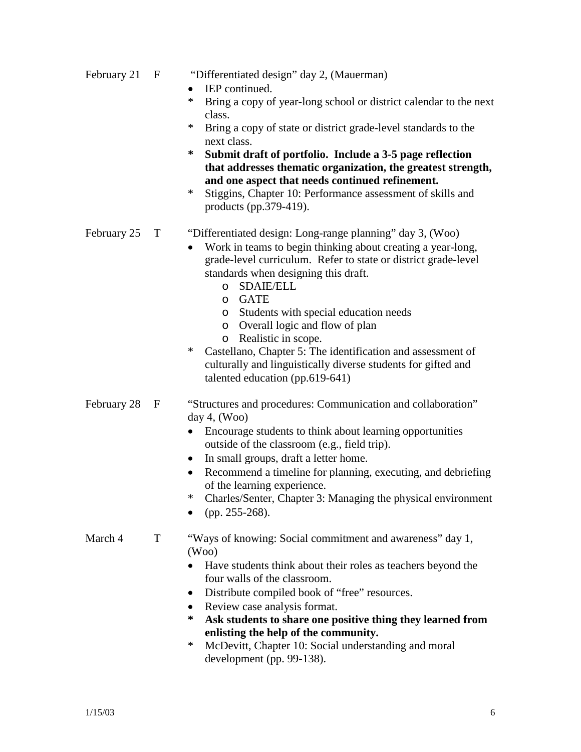| February 21 | "Differentiated design" day 2, (Mauerman) |  |
|-------------|-------------------------------------------|--|
|             |                                           |  |

- **IEP** continued.
- Bring a copy of year-long school or district calendar to the next class.
- \* Bring a copy of state or district grade-level standards to the next class.<br> **Submit dr**
- **\* Submit draft of portfolio. Include a 3-5 page reflection that addresses thematic organization, the greatest strength, and one aspect that needs continued refinement.**
- \* Stiggins, Chapter 10: Performance assessment of skills and products (pp.379-419).

# February 25 T "Differentiated design: Long-range planning" day 3, (Woo)

- Work in teams to begin thinking about creating a year-long, grade-level curriculum. Refer to state or district grade-level standards when designing this draft.
	- o SDAIE/ELL
	- o GATE
	- o Students with special education needs
	- o Overall logic and flow of plan
	- o Realistic in scope.
- \* Castellano, Chapter 5: The identification and assessment of culturally and linguistically diverse students for gifted and talented education (pp.619-641)

#### February 28 F "Structures and procedures: Communication and collaboration" day 4, (Woo)

- Encourage students to think about learning opportunities outside of the classroom (e.g., field trip).
- In small groups, draft a letter home.
- Recommend a timeline for planning, executing, and debriefing of the learning experience.
- \* Charles/Senter, Chapter 3: Managing the physical environment
- (pp. 255-268).

# March 4 T "Ways of knowing: Social commitment and awareness" day 1, (Woo)

- Have students think about their roles as teachers beyond the four walls of the classroom.
- Distribute compiled book of "free" resources.
- Review case analysis format.
- Ask students to share one positive thing they learned from **enlisting the help of the community.**<br> **EXECUTE:** McDevitt Chanter 10: Social understa
- McDevitt, Chapter 10: Social understanding and moral development (pp. 99-138).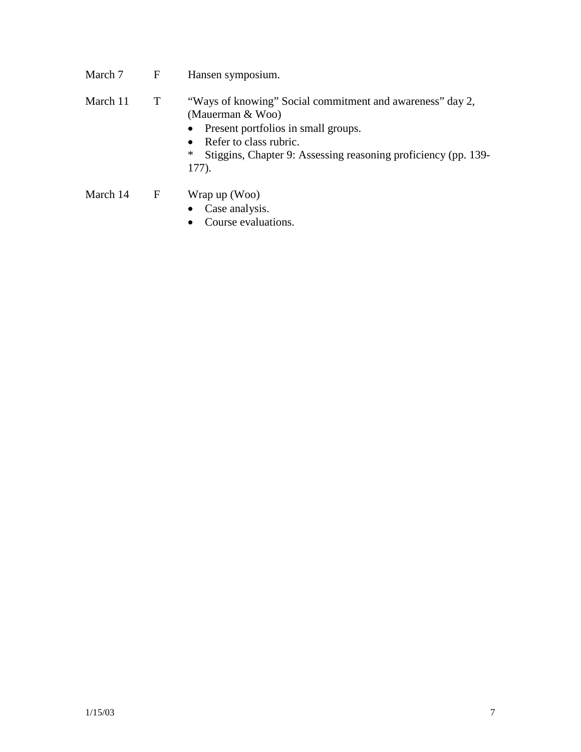- March 7 F Hansen symposium.
- March 11 T "Ways of knowing" Social commitment and awareness" day 2, (Mauerman & Woo)
	- Present portfolios in small groups.
	- Refer to class rubric.<br>\* Stiggins. Chapter 9:  $\frac{1}{2}$
	- Stiggins, Chapter 9: Assessing reasoning proficiency (pp. 139-177).
- March 14 F Wrap up (Woo)
	- Case analysis.
	- Course evaluations.